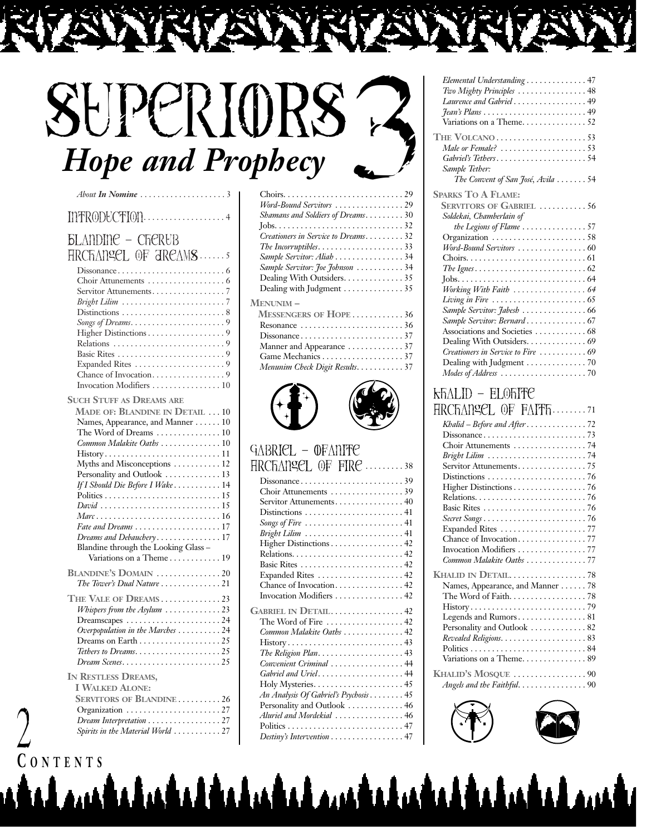## SHPCRIORS **Hope and Prophecy**

| About In Nomine                                                                                                                                                                                                                                                                                                                                                                                                                                                                      |
|--------------------------------------------------------------------------------------------------------------------------------------------------------------------------------------------------------------------------------------------------------------------------------------------------------------------------------------------------------------------------------------------------------------------------------------------------------------------------------------|
| INTRODUCTION4                                                                                                                                                                                                                                                                                                                                                                                                                                                                        |
| <b><i><u>BLANDING - CFIERUB</u></i></b><br><b>HRCHANGEL OF AREAMS</b><br>Higher Distinctions 9<br>Invocation Modifiers  10                                                                                                                                                                                                                                                                                                                                                           |
| <b>SUCH STUFF AS DREAMS ARE</b><br>MADE OF: BLANDINE IN DETAIL  10<br>Names, Appearance, and Manner 10<br>The Word of Dreams $\dots\dots\dots\dots\dots 10$<br>Common Malakite Oaths  10<br>History11<br>Myths and Misconceptions  12<br>Personality and Outlook  13<br>If I Should Die Before I Wake 14<br>David 15<br>Fate and Dreams $\ldots \ldots \ldots \ldots \ldots \ldots 17$<br>Dreams and Debauchery17<br>Blandine through the Looking Glass -<br>Variations on a Theme19 |
| BLANDINE'S DOMAIN 20<br>The Tower's Dual Nature 21<br>THE VALE OF DREAMS23<br>Whispers from the Asylum 23<br>$D$ reamscapes $\dots \dots \dots \dots \dots \dots \dots 24$<br>Overpopulation in the Marches 24<br>Tethers to Dreams25<br>Dream Scenes25<br>IN RESTLESS DREAMS,                                                                                                                                                                                                       |
| <b>I WALKED ALONE:</b><br><b>SERVITORS OF BLANDINE26</b><br>Organization $\ldots \ldots \ldots \ldots \ldots \ldots 27$<br>Dream Interpretation 27<br>Spirits in the Material World  27                                                                                                                                                                                                                                                                                              |

| Word-Bound Servitors 29                                            |          |
|--------------------------------------------------------------------|----------|
| Shamans and Soldiers of Dreams. 30                                 |          |
|                                                                    |          |
| Creationers in Service to Dreams32                                 |          |
| The Incorruptibles. $\ldots \ldots \ldots \ldots \ldots \ldots$ 33 |          |
| Sample Servitor: Aliah 34                                          |          |
| Sample Servitor: Joe Johnson 34                                    |          |
| Dealing With Outsiders. 35                                         |          |
| Dealing with Judgment 35                                           |          |
| Menunim –                                                          |          |
| M <sub>pegpy</sub> toppe on Hopp                                   | $\gamma$ |

| MESSENGERS OF HOPE 36                                    |  |
|----------------------------------------------------------|--|
| Resonance $\ldots \ldots \ldots \ldots \ldots \ldots 36$ |  |
|                                                          |  |
|                                                          |  |
|                                                          |  |
| Menunim Check Digit Results. 37                          |  |



#### GABRIEL - OFANITE Archangel of Fire . . . . . . . . . 38

| www.<br>.                                                                   |
|-----------------------------------------------------------------------------|
| $Dissonance \ldots \ldots \ldots \ldots \ldots \ldots \ldots 39$            |
| Choir Attunements 39                                                        |
| Servitor Attunements 40                                                     |
| $Distributions \ldots \ldots \ldots \ldots \ldots \ldots \ldots 41$         |
| Songs of Fire $\ldots \ldots \ldots \ldots \ldots \ldots \ldots 41$         |
| Bright Lilim  41                                                            |
| Higher Distinctions 42                                                      |
|                                                                             |
|                                                                             |
| Expanded Rites  42                                                          |
| Chance of Invocation 42                                                     |
| Invocation Modifiers  42                                                    |
| GABRIEL IN DETAIL42                                                         |
| The Word of Fire  42                                                        |
| Common Malakite Oaths  42                                                   |
| $History \ldots \ldots \ldots \ldots \ldots \ldots \ldots \ldots \ldots 43$ |
|                                                                             |
| Convenient Criminal  44                                                     |
| Gabriel and Uriel44                                                         |
|                                                                             |
| An Analysis Of Gabriel's Psychosis 45                                       |
| Personality and Outlook  46                                                 |
| Aluriel and Mordekial 46                                                    |
|                                                                             |
| Destiny's Intervention $\ldots \ldots \ldots \ldots \ldots$ 47              |
|                                                                             |

<u>tahudaldaludal madaludaldaludal mad</u>i

| Elemental Understanding 47                                           |
|----------------------------------------------------------------------|
| Two Mighty Principles  48                                            |
| Laurence and Gabriel 49                                              |
|                                                                      |
| Variations on a Theme52                                              |
| THE VOLCANO $\ldots \ldots \ldots \ldots \ldots \ldots \ldots 53$    |
| Male or Female? $\ldots \ldots \ldots \ldots \ldots \ldots 53$       |
| Gabriel's Tethers54                                                  |
| Sample Tether:                                                       |
| The Convent of San José, Avila  54                                   |
| <b>SPARKS TO A FLAME:</b>                                            |
| <b>SERVITORS OF GABRIEL 56</b>                                       |
| Soldekai, Chamberlain of                                             |
| the Legions of Flame $\,\ldots\,\ldots\,\ldots\,\ldots\,\ldots\,57$  |
| Organization 58                                                      |
| Word-Bound Servitors 60                                              |
|                                                                      |
| The Ignes. $\dots\dots\dots\dots\dots\dots\dots\dots\dots\dots\dots$ |
|                                                                      |
| Working With Faith  64                                               |
| Living in Fire $\ldots \ldots \ldots \ldots \ldots \ldots \ldots$    |
| Sample Servitor: <i>Jabesh</i> 66                                    |
| Sample Servitor: Bernard67                                           |
|                                                                      |
| Dealing With Outsiders. 69                                           |
| Creationers in Service to Fire  69                                   |

Dealing with Judgment . . . . . . . . . . . . . . 70 *Modes of Address* . . . . . . . . . . . . . . . . . . . . 70

#### Khalid – Elohite Archangel of Faith. . . . . . . . 71

| ні Сильтер VI і Пінгистратур     |
|----------------------------------|
| Khalid - Before and After72      |
|                                  |
| Choir Attunements  74            |
|                                  |
| Servitor Attunements75           |
|                                  |
| Higher Distinctions 76           |
|                                  |
|                                  |
|                                  |
| Expanded Rites 77                |
|                                  |
| Invocation Modifiers 77          |
| Common Malakite Oaths 77         |
|                                  |
| Names, Appearance, and Manner 78 |
| The Word of Faith. 78            |
|                                  |
| Legends and Rumors 81            |
| Personality and Outlook  82      |
|                                  |
|                                  |
| Variations on a Theme 89         |
| KHALID'S MOSQUE 90               |
| Angels and the Faithful. 90      |
|                                  |





**C ONTENTS**

2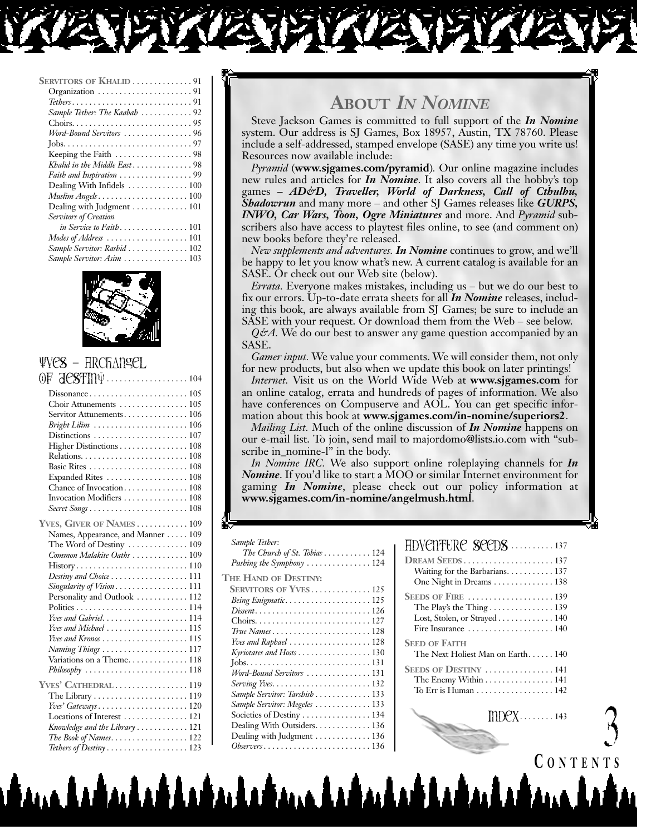| <b>SERVITORS OF KHALID 91</b>                          |
|--------------------------------------------------------|
|                                                        |
|                                                        |
| Sample Tether: The Kaabah 92                           |
|                                                        |
| Word-Bound Servitors 96                                |
|                                                        |
| Keeping the Faith $\dots\dots\dots\dots\dots\dots98$   |
| Khalid in the Middle East98                            |
| Faith and Inspiration 99                               |
| Dealing With Infidels  100                             |
|                                                        |
| Dealing with Judgment $\dots\dots\dots\dots 101$       |
| Servitors of Creation                                  |
| in Service to Faith101                                 |
| Modes of Address $\dots\dots\dots\dots\dots\dots\dots$ |
| Sample Servitor: Rashid  102                           |
| Sample Servitor: Asim  103                             |



#### YveS – Archangel  $\widehat{O}F$   $\widehat{H}$  $\widehat{P}$  $\widehat{S}$  $\widehat{F}$  $\widehat{I}$  $\widehat{D}$  $\widehat{U}$  . . . . . . . . . . . . . . . . . 104

| <u>wwimi</u>                                                          |
|-----------------------------------------------------------------------|
|                                                                       |
|                                                                       |
| Servitor Attunements 106                                              |
| Bright Lilim $\ldots \ldots \ldots \ldots \ldots \ldots \ldots 106$   |
|                                                                       |
| Higher Distinctions 108                                               |
|                                                                       |
|                                                                       |
| Expanded Rites  108                                                   |
| Chance of Invocation 108                                              |
| Invocation Modifiers  108                                             |
|                                                                       |
| YVES, GIVER OF NAMES 109                                              |
| Names, Appearance, and Manner 109                                     |
| The Word of Destiny  109                                              |
| Common Malakite Oaths  109                                            |
| $History \ldots \ldots \ldots \ldots \ldots \ldots \ldots \ldots 110$ |
| Destiny and Choice  111                                               |
| Singularity of Vision111                                              |
| Personality and Outlook  112                                          |
|                                                                       |
|                                                                       |
| Yves and Michael 115                                                  |
| Yves and Kronos 115                                                   |
| Naming Things 117                                                     |
| Variations on a Theme 118                                             |
| $Philosophy$ 118                                                      |
| YVES' CATHEDRAL 119                                                   |
| The Library $\dots \dots \dots \dots \dots \dots \dots \dots 119$     |
| $Yves' Gateways.$ 120                                                 |
| Locations of Interest  121                                            |
| Knowledge and the Library  121                                        |
| The Book of Names122                                                  |
| Tethers of Destiny $\dots\dots\dots\dots\dots\dots123$                |

### **ABOUT** *IN NOMINE*

Steve Jackson Games is committed to full support of the *In Nomine* system. Our address is SJ Games, Box 18957, Austin, TX 78760. Please include a self-addressed, stamped envelope (SASE) any time you write us! Resources now available include:

*Pyramid* (**www.sjgames.com/pyramid**)*.* Our online magazine includes new rules and articles for *In Nomine*. It also covers all the hobby's top games – *AD&D, Traveller, World of Darkness, Call of Cthulhu, Shadowrun* and many more – and other SJ Games releases like *GURPS, INWO, Car Wars, Toon, Ogre Miniatures* and more. And *Pyramid* subscribers also have access to playtest files online, to see (and comment on) new books before they're released.

*New supplements and adventures. In Nomine* continues to grow, and we'll be happy to let you know what's new. A current catalog is available for an SASE. Or check out our Web site (below).

*Errata.* Everyone makes mistakes, including us – but we do our best to fix our errors. Up-to-date errata sheets for all *In Nomine* releases, including this book, are always available from SJ Games; be sure to include an SASE with your request. Or download them from the Web – see below.

*Q&A.* We do our best to answer any game question accompanied by an SASE.

*Gamer input.* We value your comments. We will consider them, not only for new products, but also when we update this book on later printings!

*Internet.* Visit us on the World Wide Web at **www.sjgames.com** for an online catalog, errata and hundreds of pages of information. We also have conferences on Compuserve and AOL. You can get specific information about this book at **www.sjgames.com/in-nomine/superiors2**.

*Mailing List.* Much of the online discussion of *In Nomine* happens on our e-mail list. To join, send mail to majordomo@lists.io.com with "subscribe in\_nomine-l" in the body.

*In Nomine IRC.* We also support online roleplaying channels for *In Nomine*. If you'd like to start a MOO or similar Internet environment for gaming *In Nomine*, please check out our policy information at **www.sjgames.com/in-nomine/angelmush.html**.

#### *Sample Tether:*

| Sampie Tether:                                                                |  |
|-------------------------------------------------------------------------------|--|
| The Church of St. Tobias $\ldots \ldots \ldots 124$                           |  |
| Pushing the Symphony $\dots\dots\dots\dots\dots 124$                          |  |
| <b>THE HAND OF DESTINY:</b>                                                   |  |
| <b>SERVITORS OF YVES125</b>                                                   |  |
| Being Enigmatic125                                                            |  |
|                                                                               |  |
|                                                                               |  |
|                                                                               |  |
| <i>Yves and Raphael</i> $\ldots \ldots \ldots \ldots \ldots \ldots 128$       |  |
| Kyriotates and Hosts 130                                                      |  |
|                                                                               |  |
| Word-Bound Servitors 131                                                      |  |
|                                                                               |  |
| Sample Servitor: Tarshish  133                                                |  |
| Sample Servitor: Megeles  133                                                 |  |
| Societies of Destiny $\dots \dots \dots \dots \dots 134$                      |  |
| Dealing With Outsiders. 136                                                   |  |
| Dealing with Judgment $\dots\dots\dots\dots 136$                              |  |
| $Observers \dots \dots \dots \dots \dots \dots \dots \dots \dots \dots \ 136$ |  |
|                                                                               |  |

لتلقيليشية ويبقيل والقلطية

| DREAM SEEDS137<br>Waiting for the Barbarians 137<br>One Night in Dreams  138                                                |
|-----------------------------------------------------------------------------------------------------------------------------|
| SEEDS OF FIRE 139<br>The Play's the Thing $\dots\dots\dots\dots 139$<br>Lost, Stolen, or Strayed 140<br>Fire Insurance  140 |
| <b>SEED OF FAITH</b><br>The Next Holiest Man on Earth 140                                                                   |
| SEEDS OF DESTINY  141<br>The Enemy Within 141<br>To Err is Human $\ldots \ldots \ldots \ldots \ldots 142$                   |

### **C ONTENTS**

 $\mathcal{L}$ 

 $IDDPX$ . . . . . . . . 143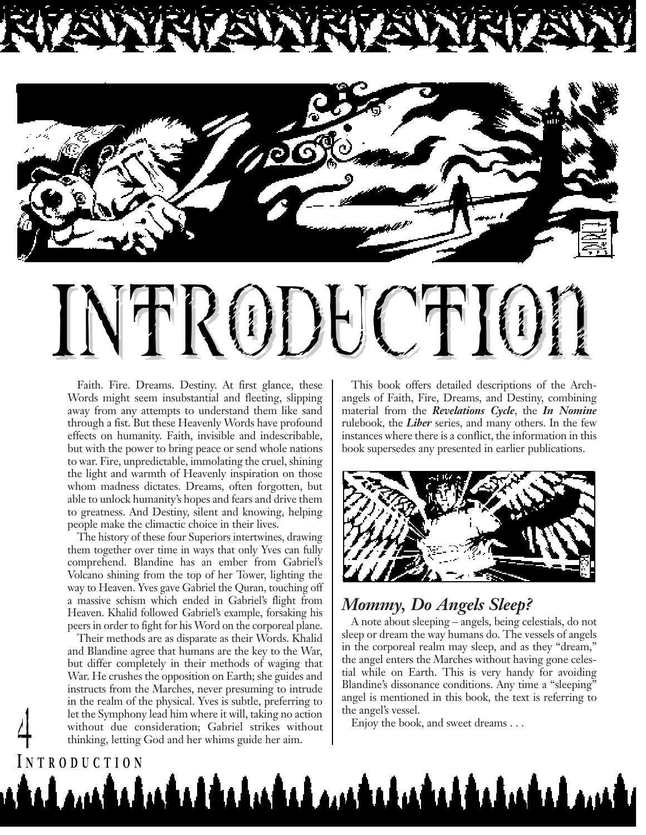



# INTRODUCTION

Faith. Fire. Dreams. Destiny. At first glance, these Words might seem insubstantial and fleeting, slipping away from any attempts to understand them like sand through a fist. But these Heavenly Words have profound effects on humanity. Faith, invisible and indescribable, but with the power to bring peace or send whole nations to war. Fire, unpredictable, immolating the cruel, shining the light and warmth of Heavenly inspiration on those whom madness dictates. Dreams, often forgotten, but able to unlock humanity's hopes and fears and drive them to greatness. And Destiny, silent and knowing, helping people make the climactic choice in their lives.

The history of these four Superiors intertwines, drawing them together over time in ways that only Yves can fully comprehend. Blandine has an ember from Gabriel's Volcano shining from the top of her Tower, lighting the way to Heaven. Yves gave Gabriel the Quran, touching off a massive schism which ended in Gabriel's flight from Heaven. Khalid followed Gabriel's example, forsaking his peers in order to fight for his Word on the corporeal plane.

Their methods are as disparate as their Words. Khalid and Blandine agree that humans are the key to the War, but differ completely in their methods of waging that War. He crushes the opposition on Earth; she guides and instructs from the Marches, never presuming to intrude in the realm of the physical. Yves is subtle, preferring to let the Symphony lead him where it will, taking no action without due consideration; Gabriel strikes without Enjoy the book, and sweet dreams . . . 4 thinking, letting God and her whims guide her aim.

**I NTRODUCTION**

This book offers detailed descriptions of the Archangels of Faith, Fire, Dreams, and Destiny, combining material from the *Revelations Cycle*, the *In Nomine* rulebook, the *Liber* series, and many others. In the few instances where there is a conflict, the information in this book supersedes any presented in earlier publications.



#### *Mommy, Do Angels Sleep?*

A note about sleeping – angels, being celestials, do not sleep or dream the way humans do. The vessels of angels in the corporeal realm may sleep, and as they "dream," the angel enters the Marches without having gone celestial while on Earth. This is very handy for avoiding Blandine's dissonance conditions. Any time a "sleeping" angel is mentioned in this book, the text is referring to the angel's vessel.

يشمر الماسة بالمستقدات بمستقدات المستقدات المستقد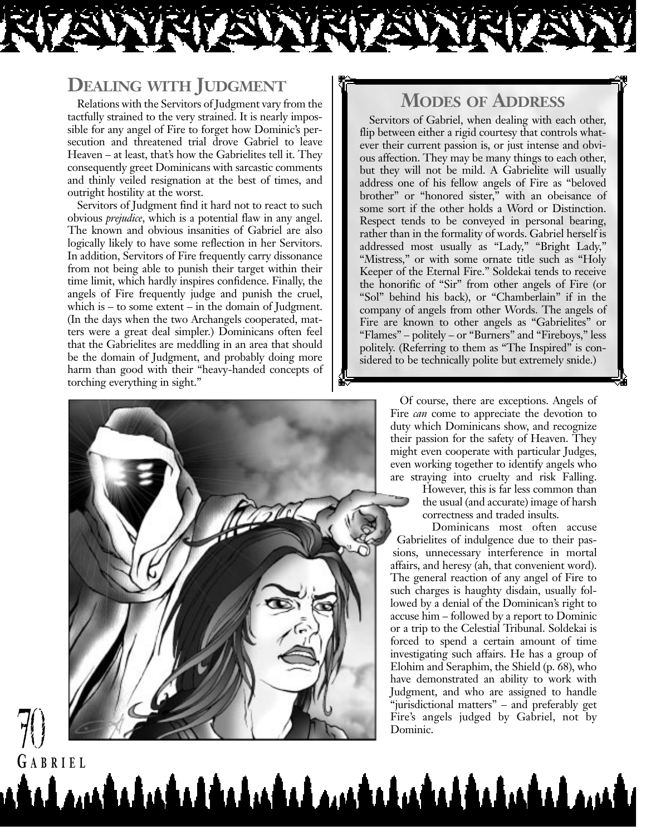#### **DEALING WITH JUDGMENT**

Relations with the Servitors of Judgment vary from the tactfully strained to the very strained. It is nearly impossible for any angel of Fire to forget how Dominic's persecution and threatened trial drove Gabriel to leave Heaven – at least, that's how the Gabrielites tell it. They consequently greet Dominicans with sarcastic comments and thinly veiled resignation at the best of times, and outright hostility at the worst.

Servitors of Judgment find it hard not to react to such obvious *prejudice*, which is a potential flaw in any angel. The known and obvious insanities of Gabriel are also logically likely to have some reflection in her Servitors. In addition, Servitors of Fire frequently carry dissonance from not being able to punish their target within their time limit, which hardly inspires confidence. Finally, the angels of Fire frequently judge and punish the cruel, which is – to some extent – in the domain of Judgment. (In the days when the two Archangels cooperated, matters were a great deal simpler.) Dominicans often feel that the Gabrielites are meddling in an area that should be the domain of Judgment, and probably doing more harm than good with their "heavy-handed concepts of torching everything in sight."

#### **MODES OF ADDRESS**

Servitors of Gabriel, when dealing with each other, flip between either a rigid courtesy that controls whatever their current passion is, or just intense and obvious affection. They may be many things to each other, but they will not be mild. A Gabrielite will usually address one of his fellow angels of Fire as "beloved brother" or "honored sister," with an obeisance of some sort if the other holds a Word or Distinction. Respect tends to be conveyed in personal bearing, rather than in the formality of words. Gabriel herself is addressed most usually as "Lady," "Bright Lady," "Mistress," or with some ornate title such as "Holy Keeper of the Eternal Fire." Soldekai tends to receive the honorific of "Sir" from other angels of Fire (or "Sol" behind his back), or "Chamberlain" if in the company of angels from other Words. The angels of Fire are known to other angels as "Gabrielites" or "Flames" – politely – or "Burners" and "Fireboys," less politely. (Referring to them as "The Inspired" is considered to be technically polite but extremely snide.)

> Of course, there are exceptions. Angels of Fire *can* come to appreciate the devotion to duty which Dominicans show, and recognize their passion for the safety of Heaven. They might even cooperate with particular Judges, even working together to identify angels who are straying into cruelty and risk Falling.

> > However, this is far less common than the usual (and accurate) image of harsh correctness and traded insults.

Dominicans most often accuse Gabrielites of indulgence due to their passions, unnecessary interference in mortal affairs, and heresy (ah, that convenient word). The general reaction of any angel of Fire to such charges is haughty disdain, usually followed by a denial of the Dominican's right to accuse him – followed by a report to Dominic or a trip to the Celestial Tribunal. Soldekai is forced to spend a certain amount of time investigating such affairs. He has a group of Elohim and Seraphim, the Shield (p. 68), who have demonstrated an ability to work with Judgment, and who are assigned to handle "jurisdictional matters" – and preferably get Fire's angels judged by Gabriel, not by Dominic.



<u>talambahashalahasha mahabahashalaham</u>

70

**G ABRIEL**